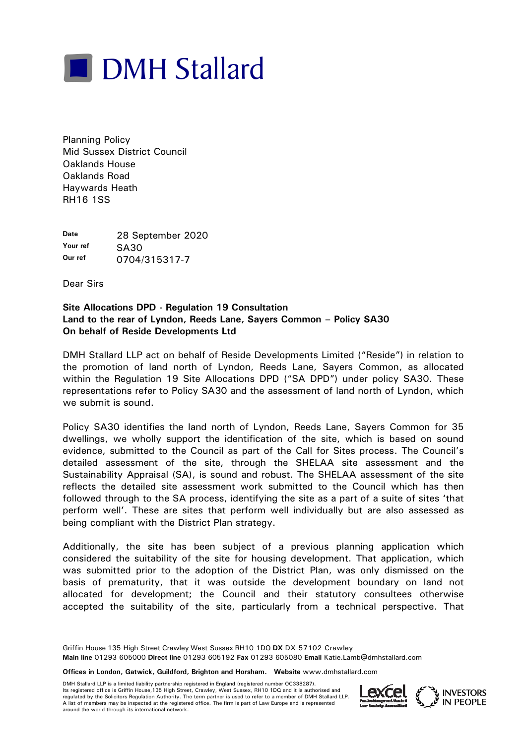

Planning Policy Mid Sussex District Council Oaklands House Oaklands Road Haywards Heath RH16 1SS

**Date** 28 September 2020 Your ref **SA30 Our ref** 0704/315317-7

Dear Sirs

## **Site Allocations DPD - Regulation 19 Consultation Land to the rear of Lyndon, Reeds Lane, Sayers Common – Policy SA30 On behalf of Reside Developments Ltd**

DMH Stallard LLP act on behalf of Reside Developments Limited ("Reside") in relation to the promotion of land north of Lyndon, Reeds Lane, Sayers Common, as allocated within the Regulation 19 Site Allocations DPD ("SA DPD") under policy SA30. These representations refer to Policy SA30 and the assessment of land north of Lyndon, which we submit is sound.

Policy SA30 identifies the land north of Lyndon, Reeds Lane, Sayers Common for 35 dwellings, we wholly support the identification of the site, which is based on sound evidence, submitted to the Council as part of the Call for Sites process. The Council's detailed assessment of the site, through the SHELAA site assessment and the Sustainability Appraisal (SA), is sound and robust. The SHELAA assessment of the site reflects the detailed site assessment work submitted to the Council which has then followed through to the SA process, identifying the site as a part of a suite of sites 'that perform well'. These are sites that perform well individually but are also assessed as being compliant with the District Plan strategy.

Additionally, the site has been subject of a previous planning application which considered the suitability of the site for housing development. That application, which was submitted prior to the adoption of the District Plan, was only dismissed on the basis of prematurity, that it was outside the development boundary on land not allocated for development; the Council and their statutory consultees otherwise accepted the suitability of the site, particularly from a technical perspective. That

Griffin House 135 High Street Crawley West Sussex RH10 1DQ **DX** DX 57102 Crawley **Main line** 01293 605000 **Direct line** 01293 605192 **Fax** 01293 605080 **Email** Katie.Lamb@dmhstallard.com

**Offices in London, Gatwick, Guildford, Brighton and Horsham. Website** www.dmhstallard.com

DMH Stallard LLP is a limited liability partnership registered in England (registered number OC338287). Its registered office is Griffin House,135 High Street, Crawley, West Sussex, RH10 1DQ and it is authorised and regulated by the Solicitors Regulation Authority. The term partner is used to refer to a member of DMH Stallard LLP. A list of members may be inspected at the registered office. The firm is part of Law Europe and is represented<br>around the world through its international network. Its registered office is Griffin House, 135 High Street, Crawley, West Sussex, RH10 1DQ and it is authorised and<br>A list of members may be inspected at the registered office. The firm is part of Law Europe and is represente

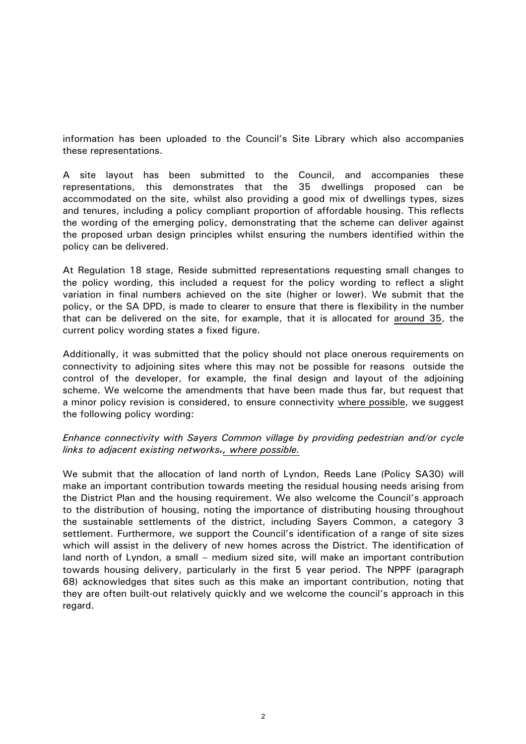information has been uploaded to the Council's Site Library which also accompanies these representations.

A site layout has been submitted to the Council, and accompanies these representations, this demonstrates that the 35 dwellings proposed can be accommodated on the site, whilst also providing a good mix of dwellings types, sizes and tenures, including a policy compliant proportion of affordable housing. This reflects the wording of the emerging policy, demonstrating that the scheme can deliver against the proposed urban design principles whilst ensuring the numbers identified within the policy can be delivered.

At Regulation 18 stage, Reside submitted representations requesting small changes to the policy wording, this included a request for the policy wording to reflect a slight variation in final numbers achieved on the site (higher or lower). We submit that the policy, or the SA DPD, is made to clearer to ensure that there is flexibility in the number that can be delivered on the site, for example, that it is allocated for around 35, the current policy wording states a fixed figure.

Additionally, it was submitted that the policy should not place onerous requirements on connectivity to adjoining sites where this may not be possible for reasons outside the control of the developer, for example, the final design and layout of the adjoining scheme. We welcome the amendments that have been made thus far, but request that a minor policy revision is considered, to ensure connectivity where possible, we suggest the following policy wording:

## *Enhance connectivity with Sayers Common village by providing pedestrian and/or cycle links to adjacent existing networks., where possible.*

We submit that the allocation of land north of Lyndon, Reeds Lane (Policy SA30) will make an important contribution towards meeting the residual housing needs arising from the District Plan and the housing requirement. We also welcome the Council's approach to the distribution of housing, noting the importance of distributing housing throughout the sustainable settlements of the district, including Sayers Common, a category 3 settlement. Furthermore, we support the Council's identification of a range of site sizes which will assist in the delivery of new homes across the District. The identification of land north of Lyndon, a small – medium sized site, will make an important contribution towards housing delivery, particularly in the first 5 year period. The NPPF (paragraph 68) acknowledges that sites such as this make an important contribution, noting that they are often built-out relatively quickly and we welcome the council's approach in this regard.